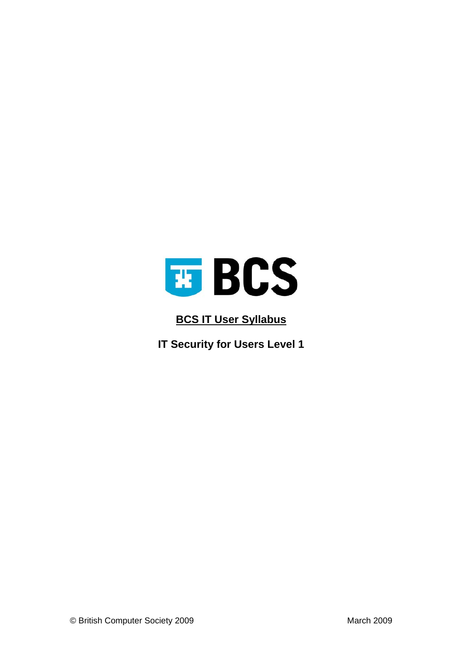

## **BCS IT User Syllabus**

**IT Security for Users Level 1**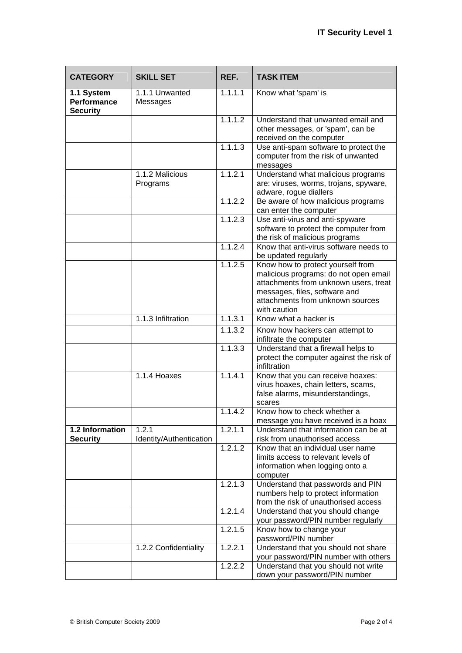| <b>CATEGORY</b>                                     | <b>SKILL SET</b>           | REF.    | <b>TASK ITEM</b>                                                             |
|-----------------------------------------------------|----------------------------|---------|------------------------------------------------------------------------------|
| 1.1 System<br><b>Performance</b><br><b>Security</b> | 1.1.1 Unwanted<br>Messages | 1.1.1.1 | Know what 'spam' is                                                          |
|                                                     |                            | 1.1.1.2 | Understand that unwanted email and                                           |
|                                                     |                            |         | other messages, or 'spam', can be                                            |
|                                                     |                            | 1.1.1.3 | received on the computer<br>Use anti-spam software to protect the            |
|                                                     |                            |         | computer from the risk of unwanted                                           |
|                                                     | 1.1.2 Malicious            | 1.1.2.1 | messages<br>Understand what malicious programs                               |
|                                                     | Programs                   |         | are: viruses, worms, trojans, spyware,<br>adware, rogue diallers             |
|                                                     |                            | 1.1.2.2 | Be aware of how malicious programs<br>can enter the computer                 |
|                                                     |                            | 1.1.2.3 | Use anti-virus and anti-spyware                                              |
|                                                     |                            |         | software to protect the computer from                                        |
|                                                     |                            |         | the risk of malicious programs                                               |
|                                                     |                            | 1.1.2.4 | Know that anti-virus software needs to                                       |
|                                                     |                            |         | be updated regularly                                                         |
|                                                     |                            | 1.1.2.5 | Know how to protect yourself from<br>malicious programs: do not open email   |
|                                                     |                            |         | attachments from unknown users, treat                                        |
|                                                     |                            |         | messages, files, software and                                                |
|                                                     |                            |         | attachments from unknown sources                                             |
|                                                     |                            |         | with caution                                                                 |
|                                                     | 1.1.3 Infiltration         | 1.1.3.1 | Know what a hacker is                                                        |
|                                                     |                            | 1.1.3.2 | Know how hackers can attempt to<br>infiltrate the computer                   |
|                                                     |                            | 1.1.3.3 | Understand that a firewall helps to                                          |
|                                                     |                            |         | protect the computer against the risk of<br>infiltration                     |
|                                                     | 1.1.4 Hoaxes               | 1.1.4.1 | Know that you can receive hoaxes:                                            |
|                                                     |                            |         | virus hoaxes, chain letters, scams,                                          |
|                                                     |                            |         | false alarms, misunderstandings,<br>scares                                   |
|                                                     |                            | 1.1.4.2 | Know how to check whether a                                                  |
|                                                     |                            |         | message you have received is a hoax                                          |
| 1.2 Information                                     | 1.2.1                      | 1.2.1.1 | Understand that information can be at                                        |
| <b>Security</b>                                     | Identity/Authentication    |         | risk from unauthorised access                                                |
|                                                     |                            | 1.2.1.2 | Know that an individual user name                                            |
|                                                     |                            |         | limits access to relevant levels of                                          |
|                                                     |                            |         | information when logging onto a                                              |
|                                                     |                            | 1.2.1.3 | computer<br>Understand that passwords and PIN                                |
|                                                     |                            |         | numbers help to protect information                                          |
|                                                     |                            |         | from the risk of unauthorised access                                         |
|                                                     |                            | 1.2.1.4 | Understand that you should change                                            |
|                                                     |                            |         | your password/PIN number regularly                                           |
|                                                     |                            | 1.2.1.5 | Know how to change your                                                      |
|                                                     |                            |         | password/PIN number                                                          |
|                                                     | 1.2.2 Confidentiality      | 1.2.2.1 | Understand that you should not share                                         |
|                                                     |                            | 1.2.2.2 | your password/PIN number with others<br>Understand that you should not write |
|                                                     |                            |         | down your password/PIN number                                                |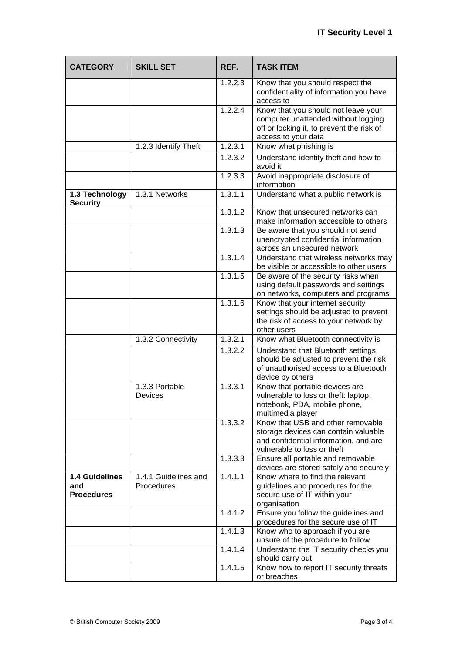| <b>CATEGORY</b>                            | <b>SKILL SET</b>                   | REF.                 | <b>TASK ITEM</b>                                                                                                                                  |
|--------------------------------------------|------------------------------------|----------------------|---------------------------------------------------------------------------------------------------------------------------------------------------|
|                                            |                                    | 1.2.2.3              | Know that you should respect the<br>confidentiality of information you have<br>access to                                                          |
|                                            |                                    | 1.2.2.4              | Know that you should not leave your<br>computer unattended without logging<br>off or locking it, to prevent the risk of<br>access to your data    |
|                                            | 1.2.3 Identify Theft               | 1.2.3.1              | Know what phishing is                                                                                                                             |
|                                            |                                    | 1.2.3.2              | Understand identify theft and how to<br>avoid it                                                                                                  |
|                                            |                                    | 1.2.3.3              | Avoid inappropriate disclosure of<br>information                                                                                                  |
| 1.3 Technology<br><b>Security</b>          | 1.3.1 Networks                     | 1.3.1.1              | Understand what a public network is                                                                                                               |
|                                            |                                    | 1.3.1.2              | Know that unsecured networks can<br>make information accessible to others                                                                         |
|                                            |                                    | 1.3.1.3              | Be aware that you should not send<br>unencrypted confidential information<br>across an unsecured network                                          |
|                                            |                                    | 1.3.1.4              | Understand that wireless networks may<br>be visible or accessible to other users                                                                  |
|                                            |                                    | 1.3.1.5              | Be aware of the security risks when<br>using default passwords and settings<br>on networks, computers and programs                                |
|                                            |                                    | 1.3.1.6              | Know that your internet security<br>settings should be adjusted to prevent<br>the risk of access to your network by<br>other users                |
|                                            | 1.3.2 Connectivity                 | 1.3.2.1              | Know what Bluetooth connectivity is                                                                                                               |
|                                            |                                    | 1.3.2.2              | Understand that Bluetooth settings<br>should be adjusted to prevent the risk<br>of unauthorised access to a Bluetooth<br>device by others         |
|                                            | 1.3.3 Portable<br><b>Devices</b>   | 1,3,3,1              | Know that portable devices are<br>vulnerable to loss or theft: laptop,<br>notebook, PDA, mobile phone,<br>multimedia player                       |
|                                            |                                    | 1.3.3.2              | Know that USB and other removable<br>storage devices can contain valuable<br>and confidential information, and are<br>vulnerable to loss or theft |
|                                            |                                    | 1.3.3.3              | Ensure all portable and removable<br>devices are stored safely and securely                                                                       |
| 1.4 Guidelines<br>and<br><b>Procedures</b> | 1.4.1 Guidelines and<br>Procedures | 1.4.1.1              | Know where to find the relevant<br>guidelines and procedures for the<br>secure use of IT within your<br>organisation                              |
|                                            |                                    | $\overline{1.4.1.2}$ | Ensure you follow the guidelines and<br>procedures for the secure use of IT                                                                       |
|                                            |                                    | 1.4.1.3              | Know who to approach if you are<br>unsure of the procedure to follow                                                                              |
|                                            |                                    | 1.4.1.4              | Understand the IT security checks you<br>should carry out                                                                                         |
|                                            |                                    | 1.4.1.5              | Know how to report IT security threats<br>or breaches                                                                                             |